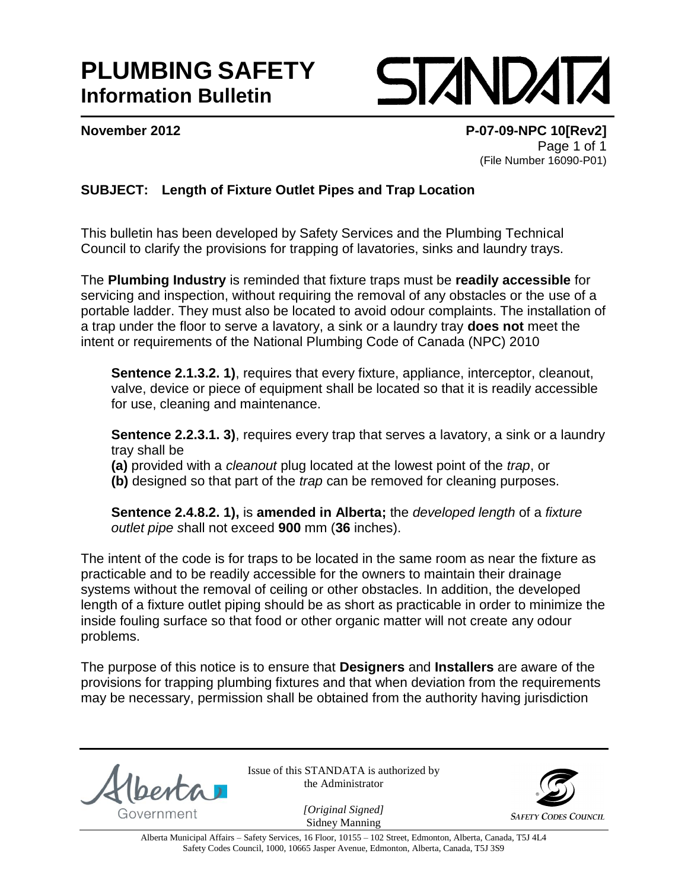## **PLUMBING SAFETY Information Bulletin**

**SIZNDAT** 

**November 2012 P-07-09-NPC 10[Rev2]** Page 1 of 1 (File Number 16090-P01)

## **SUBJECT: Length of Fixture Outlet Pipes and Trap Location**

This bulletin has been developed by Safety Services and the Plumbing Technical Council to clarify the provisions for trapping of lavatories, sinks and laundry trays.

The **Plumbing Industry** is reminded that fixture traps must be **readily accessible** for servicing and inspection, without requiring the removal of any obstacles or the use of a portable ladder. They must also be located to avoid odour complaints. The installation of a trap under the floor to serve a lavatory, a sink or a laundry tray **does not** meet the intent or requirements of the National Plumbing Code of Canada (NPC) 2010

**Sentence 2.1.3.2. 1)**, requires that every fixture, appliance, interceptor, cleanout, valve, device or piece of equipment shall be located so that it is readily accessible for use, cleaning and maintenance.

**Sentence 2.2.3.1. 3)**, requires every trap that serves a lavatory, a sink or a laundry tray shall be

**(a)** provided with a *cleanout* plug located at the lowest point of the *trap*, or **(b)** designed so that part of the *trap* can be removed for cleaning purposes.

**Sentence 2.4.8.2. 1),** is **amended in Alberta;** the *developed length* of a *fixture outlet pipe s*hall not exceed **900** mm (**36** inches).

The intent of the code is for traps to be located in the same room as near the fixture as practicable and to be readily accessible for the owners to maintain their drainage systems without the removal of ceiling or other obstacles. In addition, the developed length of a fixture outlet piping should be as short as practicable in order to minimize the inside fouling surface so that food or other organic matter will not create any odour problems.

The purpose of this notice is to ensure that **Designers** and **Installers** are aware of the provisions for trapping plumbing fixtures and that when deviation from the requirements may be necessary, permission shall be obtained from the authority having jurisdiction

Issue of this STANDATA is authorized by the Administrator



*[Original Signed]* Sidney Manning

Alberta Municipal Affairs – Safety Services, 16 Floor, 10155 – 102 Street, Edmonton, Alberta, Canada, T5J 4L4 Safety Codes Council, 1000, 10665 Jasper Avenue, Edmonton, Alberta, Canada, T5J 3S9